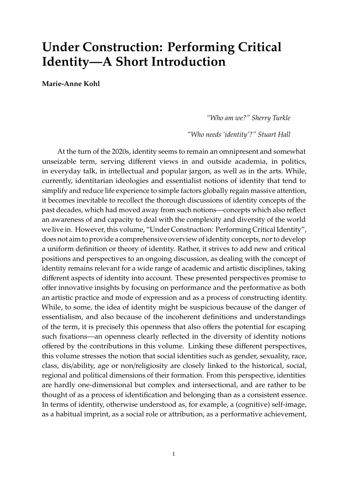## **Under Construction: Performing Critical Identity—A Short Introduction**

**Marie-Anne Kohl**

*"Who am we?" Sherry Turkle*

*"Who needs 'identity'?" Stuart Hall*

At the turn of the 2020s, identity seems to remain an omnipresent and somewhat unseizable term, serving different views in and outside academia, in politics, in everyday talk, in intellectual and popular jargon, as well as in the arts. While, currently, identitarian ideologies and essentialist notions of identity that tend to simplify and reduce life experience to simple factors globally regain massive attention, it becomes inevitable to recollect the thorough discussions of identity concepts of the past decades, which had moved away from such notions—concepts which also reflect an awareness of and capacity to deal with the complexity and diversity of the world we live in. However, this volume, "Under Construction: Performing Critical Identity", does not aim to provide a comprehensive overview of identity concepts, nor to develop a uniform definition or theory of identity. Rather, it strives to add new and critical positions and perspectives to an ongoing discussion, as dealing with the concept of identity remains relevant for a wide range of academic and artistic disciplines, taking different aspects of identity into account. These presented perspectives promise to offer innovative insights by focusing on performance and the performative as both an artistic practice and mode of expression and as a process of constructing identity. While, to some, the idea of identity might be suspicious because of the danger of essentialism, and also because of the incoherent definitions and understandings of the term, it is precisely this openness that also offers the potential for escaping such fixations—an openness clearly reflected in the diversity of identity notions offered by the contributions in this volume. Linking these different perspectives, this volume stresses the notion that social identities such as gender, sexuality, race, class, dis/ability, age or non/religiosity are closely linked to the historical, social, regional and political dimensions of their formation. From this perspective, identities are hardly one-dimensional but complex and intersectional, and are rather to be thought of as a process of identification and belonging than as a consistent essence. In terms of identity, otherwise understood as, for example, a (cognitive) self-image, as a habitual imprint, as a social role or attribution, as a performative achievement,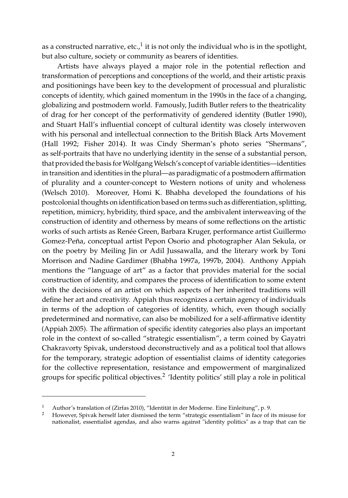as a constructed narrative, etc., $^1$  it is not only the individual who is in the spotlight, but also culture, society or community as bearers of identities.

Artists have always played a major role in the potential reflection and transformation of perceptions and conceptions of the world, and their artistic praxis and positionings have been key to the development of processual and pluralistic concepts of identity, which gained momentum in the 1990s in the face of a changing, globalizing and postmodern world. Famously, Judith Butler refers to the theatricality of drag for her concept of the performativity of gendered identity [\(Butler](#page-6-0) [1990\)](#page-6-0), and Stuart Hall's influential concept of cultural identity was closely interwoven with his personal and intellectual connection to the British Black Arts Movement [\(Hall](#page-6-1) [1992;](#page-6-1) [Fisher](#page-6-2) [2014\)](#page-6-2). It was Cindy Sherman's photo series "Shermans", as self-portraits that have no underlying identity in the sense of a substantial person, that provided the basis for Wolfgang Welsch's concept of variable identities—identities in transition and identities in the plural—as paradigmatic of a postmodern affirmation of plurality and a counter-concept to Western notions of unity and wholeness [\(Welsch](#page-7-0) [2010\)](#page-7-0). Moreover, Homi K. Bhabha developed the foundations of his postcolonial thoughts on identification based on terms such as differentiation, splitting, repetition, mimicry, hybridity, third space, and the ambivalent interweaving of the construction of identity and otherness by means of some reflections on the artistic works of such artists as Renée Green, Barbara Kruger, performance artist Guillermo Gomez-Peña, conceptual artist Pepon Osorio and photographer Alan Sekula, or on the poetry by Meiling Jin or Adil Jussawalla, and the literary work by Toni Morrison and Nadine Gardimer [\(Bhabha](#page-6-3) [1997a,](#page-6-3) [1997b,](#page-6-4) [2004\)](#page-6-5). Anthony Appiah mentions the "language of art" as a factor that provides material for the social construction of identity, and compares the process of identification to some extent with the decisions of an artist on which aspects of her inherited traditions will define her art and creativity. Appiah thus recognizes a certain agency of individuals in terms of the adoption of categories of identity, which, even though socially predetermined and normative, can also be mobilized for a self-affirmative identity [\(Appiah](#page-6-6) [2005\)](#page-6-6). The affirmation of specific identity categories also plays an important role in the context of so-called "strategic essentialism", a term coined by Gayatri Chakravorty Spivak, understood deconstructively and as a political tool that allows for the temporary, strategic adoption of essentialist claims of identity categories for the collective representation, resistance and empowerment of marginalized groups for specific political objectives. $^2$  'Identity politics' still play a role in political

<sup>1</sup> Author's translation of [\(Zirfas](#page-7-1) [2010\)](#page-7-1), "Identität in der Moderne. Eine Einleitung", p. 9.

<sup>2</sup> However, Spivak herself later dismissed the term "strategic essentialism" in face of its misuse for nationalist, essentialist agendas, and also warns against "identity politics" as a trap that can tie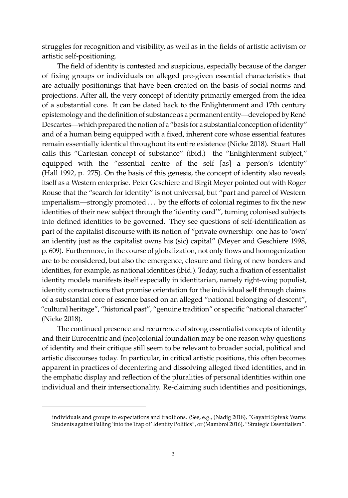struggles for recognition and visibility, as well as in the fields of artistic activism or artistic self-positioning.

The field of identity is contested and suspicious, especially because of the danger of fixing groups or individuals on alleged pre-given essential characteristics that are actually positionings that have been created on the basis of social norms and projections. After all, the very concept of identity primarily emerged from the idea of a substantial core. It can be dated back to the Enlightenment and 17th century epistemology and the definition of substance as a permanent entity—developed by René Descartes—which prepared the notion of a "basis for a substantial conception of identity" and of a human being equipped with a fixed, inherent core whose essential features remain essentially identical throughout its entire existence [\(Nicke](#page-7-2) [2018\)](#page-7-2). Stuart Hall calls this "Cartesian concept of substance" (ibid.) the "Enlightenment subject," equipped with the "essential centre of the self [as] a person's identity" [\(Hall](#page-6-1) [1992,](#page-6-1) p. 275). On the basis of this genesis, the concept of identity also reveals itself as a Western enterprise. Peter Geschiere and Birgit Meyer pointed out with Roger Rouse that the "search for identity" is not universal, but "part and parcel of Western imperialism—strongly promoted . . . by the efforts of colonial regimes to fix the new identities of their new subject through the 'identity card'", turning colonised subjects into defined identities to be governed. They see questions of self-identification as part of the capitalist discourse with its notion of "private ownership: one has to 'own' an identity just as the capitalist owns his (sic) capital" [\(Meyer and Geschiere](#page-6-7) [1998,](#page-6-7) p. 609). Furthermore, in the course of globalization, not only flows and homogenization are to be considered, but also the emergence, closure and fixing of new borders and identities, for example, as national identities (ibid.). Today, such a fixation of essentialist identity models manifests itself especially in identitarian, namely right-wing populist, identity constructions that promise orientation for the individual self through claims of a substantial core of essence based on an alleged "national belonging of descent", "cultural heritage", "historical past", "genuine tradition" or specific "national character" [\(Nicke](#page-7-2) [2018\)](#page-7-2).

The continued presence and recurrence of strong essentialist concepts of identity and their Eurocentric and (neo)colonial foundation may be one reason why questions of identity and their critique still seem to be relevant to broader social, political and artistic discourses today. In particular, in critical artistic positions, this often becomes apparent in practices of decentering and dissolving alleged fixed identities, and in the emphatic display and reflection of the pluralities of personal identities within one individual and their intersectionality. Re-claiming such identities and positionings,

individuals and groups to expectations and traditions. (See, e.g., [\(Nadig](#page-7-3) [2018\)](#page-7-3), "Gayatri Spivak Warns Students against Falling 'into the Trap of' Identity Politics", or [\(Mambrol](#page-6-8) [2016\)](#page-6-8), "Strategic Essentialism".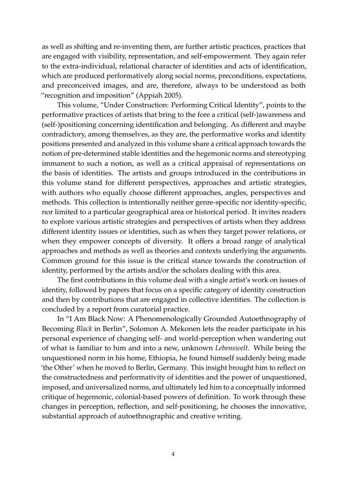as well as shifting and re-inventing them, are further artistic practices, practices that are engaged with visibility, representation, and self-empowerment. They again refer to the extra-individual, relational character of identities and acts of identification, which are produced performatively along social norms, preconditions, expectations, and preconceived images, and are, therefore, always to be understood as both "recognition and imposition" [\(Appiah](#page-6-6) [2005\)](#page-6-6).

This volume, "Under Construction: Performing Critical Identity", points to the performative practices of artists that bring to the fore a critical (self-)awareness and (self-)positioning concerning identification and belonging. As different and maybe contradictory, among themselves, as they are, the performative works and identity positions presented and analyzed in this volume share a critical approach towards the notion of pre-determined stable identities and the hegemonic norms and stereotyping immanent to such a notion, as well as a critical appraisal of representations on the basis of identities. The artists and groups introduced in the contributions in this volume stand for different perspectives, approaches and artistic strategies, with authors who equally choose different approaches, angles, perspectives and methods. This collection is intentionally neither genre-specific nor identity-specific, nor limited to a particular geographical area or historical period. It invites readers to explore various artistic strategies and perspectives of artists when they address different identity issues or identities, such as when they target power relations, or when they empower concepts of diversity. It offers a broad range of analytical approaches and methods as well as theories and contexts underlying the arguments. Common ground for this issue is the critical stance towards the construction of identity, performed by the artists and/or the scholars dealing with this area.

The first contributions in this volume deal with a single artist's work on issues of identity, followed by papers that focus on a specific category of identity construction and then by contributions that are engaged in collective identities. The collection is concluded by a report from curatorial practice.

In "I Am Black Now: A Phenomenologically Grounded Autoethnography of Becoming *Black* in Berlin", Solomon A. Mekonen lets the reader participate in his personal experience of changing self- and world-perception when wandering out of what is familiar to him and into a new, unknown *Lebenswelt*. While being the unquestioned norm in his home, Ethiopia, he found himself suddenly being made 'the Other' when he moved to Berlin, Germany. This insight brought him to reflect on the constructedness and performativity of identities and the power of unquestioned, imposed, and universalized norms, and ultimately led him to a conceptually informed critique of hegemonic, colonial-based powers of definition. To work through these changes in perception, reflection, and self-positioning, he chooses the innovative, substantial approach of autoethnographic and creative writing.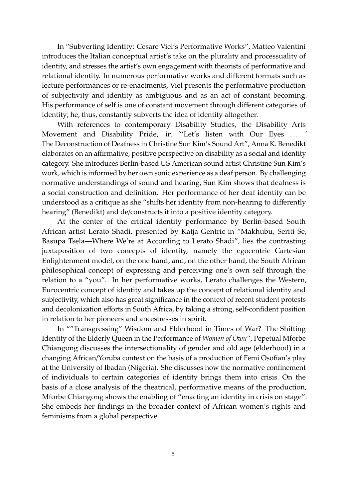In "Subverting Identity: Cesare Viel's Performative Works", Matteo Valentini introduces the Italian conceptual artist's take on the plurality and processuality of identity, and stresses the artist's own engagement with theorists of performative and relational identity. In numerous performative works and different formats such as lecture performances or re-enactments, Viel presents the performative production of subjectivity and identity as ambiguous and as an act of constant becoming. His performance of self is one of constant movement through different categories of identity; he, thus, constantly subverts the idea of identity altogether.

With references to contemporary Disability Studies, the Disability Arts Movement and Disability Pride, in "'Let's listen with Our Eyes ... ' The Deconstruction of Deafness in Christine Sun Kim's Sound Art", Anna K. Benedikt elaborates on an affirmative, positive perspective on disability as a social and identity category. She introduces Berlin-based US American sound artist Christine Sun Kim's work, which is informed by her own sonic experience as a deaf person. By challenging normative understandings of sound and hearing, Sun Kim shows that deafness is a social construction and definition. Her performance of her deaf identity can be understood as a critique as she "shifts her identity from non-hearing to differently hearing" (Benedikt) and de/constructs it into a positive identity category.

At the center of the critical identity performance by Berlin-based South African artist Lerato Shadi, presented by Katja Gentric in "Makhubu, Seriti Se, Basupa Tsela—Where We're at According to Lerato Shadi", lies the contrasting juxtaposition of two concepts of identity, namely the egocentric Cartesian Enlightenment model, on the one hand, and, on the other hand, the South African philosophical concept of expressing and perceiving one's own self through the relation to a "you". In her performative works, Lerato challenges the Western, Eurocentric concept of identity and takes up the concept of relational identity and subjectivity, which also has great significance in the context of recent student protests and decolonization efforts in South Africa, by taking a strong, self-confident position in relation to her pioneers and ancestresses in spirit.

In ""Transgressing" Wisdom and Elderhood in Times of War? The Shifting Identity of the Elderly Queen in the Performance of *Women of Owu*", Pepetual Mforbe Chiangong discusses the intersectionality of gender and old age (elderhood) in a changing African/Yoruba context on the basis of a production of Femi Osofian's play at the University of Ibadan (Nigeria). She discusses how the normative confinement of individuals to certain categories of identity brings them into crisis. On the basis of a close analysis of the theatrical, performative means of the production, Mforbe Chiangong shows the enabling of "enacting an identity in crisis on stage". She embeds her findings in the broader context of African women's rights and feminisms from a global perspective.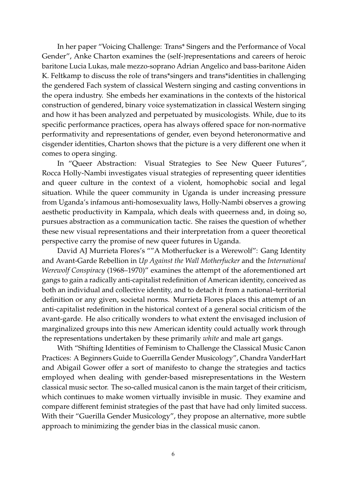In her paper "Voicing Challenge: Trans\* Singers and the Performance of Vocal Gender", Anke Charton examines the (self-)representations and careers of heroic baritone Lucia Lukas, male mezzo-soprano Adrian Angelico and bass-baritone Aiden K. Feltkamp to discuss the role of trans\*singers and trans\*identities in challenging the gendered Fach system of classical Western singing and casting conventions in the opera industry. She embeds her examinations in the contexts of the historical construction of gendered, binary voice systematization in classical Western singing and how it has been analyzed and perpetuated by musicologists. While, due to its specific performance practices, opera has always offered space for non-normative performativity and representations of gender, even beyond heteronormative and cisgender identities, Charton shows that the picture is a very different one when it comes to opera singing.

In "Queer Abstraction: Visual Strategies to See New Queer Futures", Rocca Holly-Nambi investigates visual strategies of representing queer identities and queer culture in the context of a violent, homophobic social and legal situation. While the queer community in Uganda is under increasing pressure from Uganda's infamous anti-homosexuality laws, Holly-Nambi observes a growing aesthetic productivity in Kampala, which deals with queerness and, in doing so, pursues abstraction as a communication tactic. She raises the question of whether these new visual representations and their interpretation from a queer theoretical perspective carry the promise of new queer futures in Uganda.

David AJ Murrieta Flores's ""A Motherfucker is a Werewolf": Gang Identity and Avant-Garde Rebellion in *Up Against the Wall Motherfucker* and the *International Werewolf Conspiracy* (1968–1970)" examines the attempt of the aforementioned art gangs to gain a radically anti-capitalist redefinition of American identity, conceived as both an individual and collective identity, and to detach it from a national–territorial definition or any given, societal norms. Murrieta Flores places this attempt of an anti-capitalist redefinition in the historical context of a general social criticism of the avant-garde. He also critically wonders to what extent the envisaged inclusion of marginalized groups into this new American identity could actually work through the representations undertaken by these primarily *white* and male art gangs.

With "Shifting Identities of Feminism to Challenge the Classical Music Canon Practices: A Beginners Guide to Guerrilla Gender Musicology", Chandra VanderHart and Abigail Gower offer a sort of manifesto to change the strategies and tactics employed when dealing with gender-based misrepresentations in the Western classical music sector. The so-called musical canon is the main target of their criticism, which continues to make women virtually invisible in music. They examine and compare different feminist strategies of the past that have had only limited success. With their "Guerilla Gender Musicology", they propose an alternative, more subtle approach to minimizing the gender bias in the classical music canon.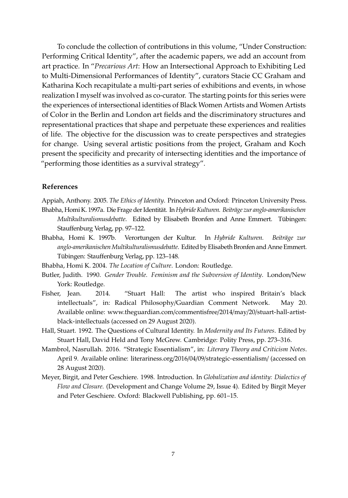To conclude the collection of contributions in this volume, "Under Construction: Performing Critical Identity", after the academic papers, we add an account from art practice. In "*Precarious Art*: How an Intersectional Approach to Exhibiting Led to Multi-Dimensional Performances of Identity", curators Stacie CC Graham and Katharina Koch recapitulate a multi-part series of exhibitions and events, in whose realization I myself was involved as co-curator. The starting points for this series were the experiences of intersectional identities of Black Women Artists and Women Artists of Color in the Berlin and London art fields and the discriminatory structures and representational practices that shape and perpetuate these experiences and realities of life. The objective for the discussion was to create perspectives and strategies for change. Using several artistic positions from the project, Graham and Koch present the specificity and precarity of intersecting identities and the importance of "performing those identities as a survival strategy".

## **References**

- <span id="page-6-6"></span><span id="page-6-3"></span>Appiah, Anthony. 2005. *The Ethics of Identity*. Princeton and Oxford: Princeton University Press. Bhabha, Homi K. 1997a. Die Frage der Identität. In*Hybride Kulturen. Beiträge zur anglo-amerikanischen Multikulturalismusdebatte*. Edited by Elisabeth Bronfen and Anne Emmert. Tübingen: Stauffenburg Verlag, pp. 97–122.
- <span id="page-6-4"></span>Bhabha, Homi K. 1997b. Verortungen der Kultur. In *Hybride Kulturen. Beiträge zur anglo-amerikanischenMultikulturalismusdebatte*. Edited by Elisabeth Bronfen and Anne Emmert. Tübingen: Stauffenburg Verlag, pp. 123–148.
- <span id="page-6-5"></span>Bhabha, Homi K. 2004. *The Location of Culture*. London: Routledge.
- <span id="page-6-0"></span>Butler, Judith. 1990. *Gender Trouble. Feminism and the Subversion of Identity*. London/New York: Routledge.
- <span id="page-6-2"></span>Fisher, Jean. 2014. "Stuart Hall: The artist who inspired Britain's black intellectuals", in: Radical Philosophy/Guardian Comment Network. May 20. Available online: [www.theguardian.com](www.theguardian.com/commentisfree/2014/may/20/stuart-hall-artist-black-intellectuals)/commentisfree/2014/may/20/stuart-hall-artist[black-intellectuals](www.theguardian.com/commentisfree/2014/may/20/stuart-hall-artist-black-intellectuals) (accessed on 29 August 2020).
- <span id="page-6-1"></span>Hall, Stuart. 1992. The Questions of Cultural Identity. In *Modernity and Its Futures*. Edited by Stuart Hall, David Held and Tony McGrew. Cambridge: Polity Press, pp. 273–316.
- <span id="page-6-8"></span>Mambrol, Nasrullah. 2016. "Strategic Essentialism", in: *Literary Theory and Criticism Notes*. April 9. Available online: literariness.org/2016/04/09/[strategic-essentialism](literariness.org/2016/04/09/strategic-essentialism/)/ (accessed on 28 August 2020).
- <span id="page-6-7"></span>Meyer, Birgit, and Peter Geschiere. 1998. Introduction. In *Globalization and identity: Dialectics of Flow and Closure*. (Development and Change Volume 29, Issue 4). Edited by Birgit Meyer and Peter Geschiere. Oxford: Blackwell Publishing, pp. 601–15.